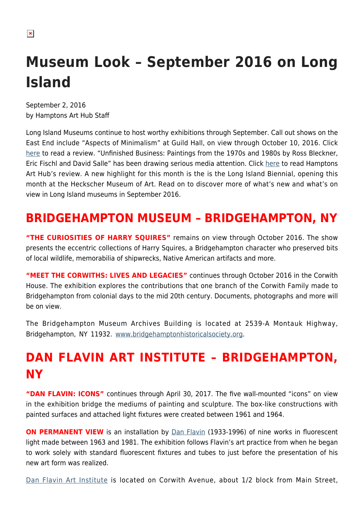$\pmb{\times}$ 

# **Museum Look – September 2016 on Long Island**

September 2, 2016 by Hamptons Art Hub Staff

Long Island Museums continue to host worthy exhibitions through September. Call out shows on the East End include "Aspects of Minimalism" at Guild Hall, on view through October 10, 2016. Click [here](https://hamptonsarthub.com/2016/08/22/reviews-art-review-minimalism-exhibit-reveals-what-the-lack-of-fuss-was-about/) to read a review. "Unfinished Business: Paintings from the 1970s and 1980s by Ross Bleckner, Eric Fischl and David Salle" has been drawing serious media attention. Click [here](https://hamptonsarthub.com/2016/08/16/reviews-art-review-how-bleckner-fischl-and-salle-gave-new-life-to-painting/) to read Hamptons Art Hub's review. A new highlight for this month is the is the Long Island Biennial, opening this month at the Heckscher Museum of Art. Read on to discover more of what's new and what's on view in Long Island museums in September 2016.

## **BRIDGEHAMPTON MUSEUM – BRIDGEHAMPTON, NY**

**"THE CURIOSITIES OF HARRY SQUIRES"** remains on view through October 2016. The show presents the eccentric collections of Harry Squires, a Bridgehampton character who preserved bits of local wildlife, memorabilia of shipwrecks, Native American artifacts and more.

**"MEET THE CORWITHS: LIVES AND LEGACIES"** continues through October 2016 in the Corwith House. The exhibition explores the contributions that one branch of the Corwith Family made to Bridgehampton from colonial days to the mid 20th century. Documents, photographs and more will be on view.

The Bridgehampton Museum Archives Building is located at 2539-A Montauk Highway, Bridgehampton, NY 11932. [www.bridgehamptonhistoricalsociety.org](http://www.bridgehamptonhistoricalsociety.org).

## **DAN FLAVIN ART INSTITUTE – BRIDGEHAMPTON, NY**

**"DAN FLAVIN: ICONS"** continues through April 30, 2017. The five wall-mounted "icons" on view in the exhibition bridge the mediums of painting and sculpture. The box-like constructions with painted surfaces and attached light fixtures were created between 1961 and 1964.

**ON PERMANENT VIEW** is an installation by [Dan Flavin](https://en.wikipedia.org/wiki/Dan_Flavin) (1933-1996) of nine works in fluorescent light made between 1963 and 1981. The exhibition follows Flavin's art practice from when he began to work solely with standard fluorescent fixtures and tubes to just before the presentation of his new art form was realized.

[Dan Flavin Art Institute](https://hamptonsarthub.com/museum-guide/dan-flavin-art-institute/) is located on Corwith Avenue, about 1/2 block from Main Street,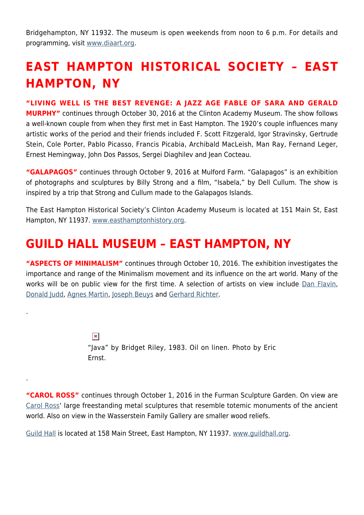Bridgehampton, NY 11932. The museum is open weekends from noon to 6 p.m. For details and programming, visit [www.diaart.org.](http://www.diaart.org)

## **EAST HAMPTON HISTORICAL SOCIETY – EAST HAMPTON, NY**

#### **"LIVING WELL IS THE BEST REVENGE: A JAZZ AGE FABLE OF SARA AND GERALD**

**MURPHY"** continues through October 30, 2016 at the Clinton Academy Museum. The show follows a well-known couple from when they first met in East Hampton. The 1920's couple influences many artistic works of the period and their friends included F. Scott Fitzgerald, Igor Stravinsky, Gertrude Stein, Cole Porter, Pablo Picasso, Francis Picabia, Archibald MacLeish, Man Ray, Fernand Leger, Ernest Hemingway, John Dos Passos, Sergei Diaghilev and Jean Cocteau.

**"GALAPAGOS"** continues through October 9, 2016 at Mulford Farm. "Galapagos" is an exhibition of photographs and sculptures by Billy Strong and a film, "Isabela," by Dell Cullum. The show is inspired by a trip that Strong and Cullum made to the Galapagos Islands.

The East Hampton Historical Society's Clinton Academy Museum is located at 151 Main St, East Hampton, NY 11937. [www.easthamptonhistory.org](http://www.easthamptonhistory.org).

#### **GUILD HALL MUSEUM – EAST HAMPTON, NY**

.

.

**"ASPECTS OF MINIMALISM"** continues through October 10, 2016. The exhibition investigates the importance and range of the Minimalism movement and its influence on the art world. Many of the works will be on public view for the first time. A selection of artists on view include [Dan Flavin,](https://en.wikipedia.org/wiki/Dan_Flavin) [Donald Judd,](http://juddfoundation.org/) [Agnes Martin](https://en.wikipedia.org/wiki/Agnes_Martin), [Joseph Beuys](http://www.theartstory.org/artist-beuys-joseph.htm) and [Gerhard Richter](https://www.gerhard-richter.com/en/).

> $\pmb{\times}$ "Java" by Bridget Riley, 1983. Oil on linen. Photo by Eric Ernst.

**"CAROL ROSS"** continues through October 1, 2016 in the Furman Sculpture Garden. On view are [Carol Ross'](http://carolross-artworks.net/) large freestanding metal sculptures that resemble totemic monuments of the ancient world. Also on view in the Wasserstein Family Gallery are smaller wood reliefs.

[Guild Hall](https://hamptonsarthub.com/museum-guide/guild-hall/) is located at 158 Main Street, East Hampton, NY 11937. [www.guildhall.org](http://www.guildhall.org).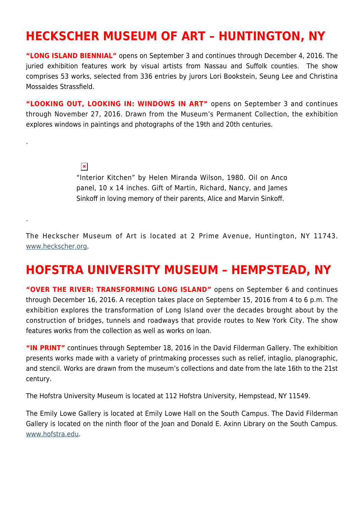#### **HECKSCHER MUSEUM OF ART – HUNTINGTON, NY**

**"LONG ISLAND BIENNIAL"** opens on September 3 and continues through December 4, 2016. The juried exhibition features work by visual artists from Nassau and Suffolk counties. The show comprises 53 works, selected from 336 entries by jurors Lori Bookstein, Seung Lee and Christina Mossaides Strassfield.

**"LOOKING OUT, LOOKING IN: WINDOWS IN ART"** opens on September 3 and continues through November 27, 2016. Drawn from the Museum's Permanent Collection, the exhibition explores windows in paintings and photographs of the 19th and 20th centuries.

#### $\pmb{\times}$

.

.

"Interior Kitchen" by Helen Miranda Wilson, 1980. Oil on Anco panel, 10 x 14 inches. Gift of Martin, Richard, Nancy, and James Sinkoff in loving memory of their parents, Alice and Marvin Sinkoff.

The Heckscher Museum of Art is located at 2 Prime Avenue, Huntington, NY 11743. [www.heckscher.org](http://www.heckscher.org).

#### **HOFSTRA UNIVERSITY MUSEUM – HEMPSTEAD, NY**

**"OVER THE RIVER: TRANSFORMING LONG ISLAND"** opens on September 6 and continues through December 16, 2016. A reception takes place on September 15, 2016 from 4 to 6 p.m. The exhibition explores the transformation of Long Island over the decades brought about by the construction of bridges, tunnels and roadways that provide routes to New York City. The show features works from the collection as well as works on loan.

**"IN PRINT"** continues through September 18, 2016 in the David Filderman Gallery. The exhibition presents works made with a variety of printmaking processes such as relief, intaglio, planographic, and stencil. Works are drawn from the museum's collections and date from the late 16th to the 21st century.

The Hofstra University Museum is located at 112 Hofstra University, Hempstead, NY 11549.

The Emily Lowe Gallery is located at Emily Lowe Hall on the South Campus. The David Filderman Gallery is located on the ninth floor of the Joan and Donald E. Axinn Library on the South Campus. [www.hofstra.edu.](http://www.hofstra.edu)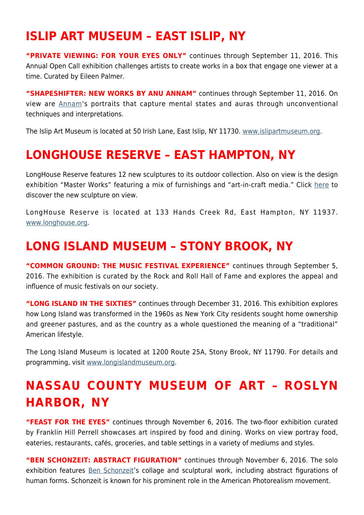#### **ISLIP ART MUSEUM – EAST ISLIP, NY**

**"PRIVATE VIEWING: FOR YOUR EYES ONLY"** continues through September 11, 2016. This Annual Open Call exhibition challenges artists to create works in a box that engage one viewer at a time. Curated by Eileen Palmer.

**"SHAPESHIFTER: NEW WORKS BY ANU ANNAM"** continues through September 11, 2016. On view are [Annam](https://www.facebook.com/anuannamartsandillustration/)'s portraits that capture mental states and auras through unconventional techniques and interpretations.

The Islip Art Museum is located at 50 Irish Lane, East Islip, NY 11730. [www.islipartmuseum.org.](http://www.islipartmuseum.org)

### **LONGHOUSE RESERVE – EAST HAMPTON, NY**

LongHouse Reserve features 12 new sculptures to its outdoor collection. Also on view is the design exhibition "Master Works" featuring a mix of furnishings and "art-in-craft media." Click [here](https://hamptonsarthub.com/2016/04/27/exhibitions-new-sculptures-unveiled-for-longhouses-summer-season/) to discover the new sculpture on view.

LongHouse Reserve is located at 133 Hands Creek Rd, East Hampton, NY 11937. [www.longhouse.org.](http://www.longhouse.org)

#### **LONG ISLAND MUSEUM – STONY BROOK, NY**

**"COMMON GROUND: THE MUSIC FESTIVAL EXPERIENCE"** continues through September 5, 2016. The exhibition is curated by the Rock and Roll Hall of Fame and explores the appeal and influence of music festivals on our society.

**"LONG ISLAND IN THE SIXTIES"** continues through December 31, 2016. This exhibition explores how Long Island was transformed in the 1960s as New York City residents sought home ownership and greener pastures, and as the country as a whole questioned the meaning of a "traditional" American lifestyle.

The Long Island Museum is located at 1200 Route 25A, Stony Brook, NY 11790. For details and programming, visit [www.longislandmuseum.org.](http://www.longislandmuseum.org)

## **NASSAU COUNTY MUSEUM OF ART – ROSLYN HARBOR, NY**

**"FEAST FOR THE EYES"** continues through November 6, 2016. The two-floor exhibition curated by Franklin Hill Perrell showcases art inspired by food and dining. Works on view portray food, eateries, restaurants, cafés, groceries, and table settings in a variety of mediums and styles.

**"BEN SCHONZEIT: ABSTRACT FIGURATION"** continues through November 6, 2016. The solo exhibition features **Ben Schonzeit's collage and sculptural work**, including abstract figurations of human forms. Schonzeit is known for his prominent role in the American Photorealism movement.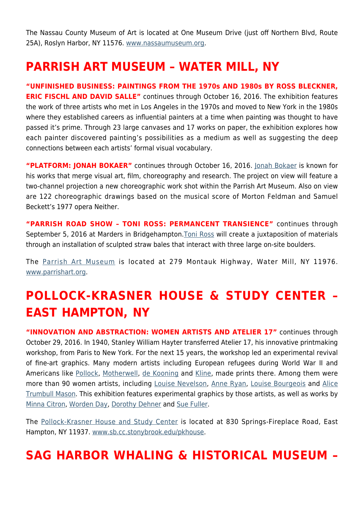The Nassau County Museum of Art is located at One Museum Drive (just off Northern Blvd, Route 25A), Roslyn Harbor, NY 11576. [www.nassaumuseum.org](http://www.nassaumuseum.org).

### **PARRISH ART MUSEUM – WATER MILL, NY**

**"UNFINISHED BUSINESS: PAINTINGS FROM THE 1970s AND 1980s BY ROSS BLECKNER, ERIC FISCHL AND DAVID SALLE"** continues through October 16, 2016. The exhibition features the work of three artists who met in Los Angeles in the 1970s and moved to New York in the 1980s where they established careers as influential painters at a time when painting was thought to have passed it's prime. Through 23 large canvases and 17 works on paper, the exhibition explores how each painter discovered painting's possibilities as a medium as well as suggesting the deep connections between each artists' formal visual vocabulary.

**"PLATFORM: JONAH BOKAER"** continues through October 16, 2016. [Jonah Bokaer](http://jonahbokaer.net/) is known for his works that merge visual art, film, choreography and research. The project on view will feature a two-channel projection a new choreographic work shot within the Parrish Art Museum. Also on view are 122 choreographic drawings based on the musical score of Morton Feldman and Samuel Beckett's 1977 opera Neither.

**"PARRISH ROAD SHOW – TONI ROSS: PERMANCENT TRANSIENCE"** continues through September 5, 2016 at Marders in Bridgehampton. [Toni Ross](http://www.tonirossstudio.com/) will create a juxtaposition of materials through an installation of sculpted straw bales that interact with three large on-site boulders.

The [Parrish Art Museum](https://hamptonsarthub.com/museum-guide/the-parrish-art-museum/) is located at 279 Montauk Highway, Water Mill, NY 11976. [www.parrishart.org](http://www.parrishart.org).

## **POLLOCK-KRASNER HOUSE & STUDY CENTER – EAST HAMPTON, NY**

**"INNOVATION AND ABSTRACTION: WOMEN ARTISTS AND ATELIER 17"** continues through October 29, 2016. In 1940, Stanley William Hayter transferred Atelier 17, his innovative printmaking workshop, from Paris to New York. For the next 15 years, the workshop led an experimental revival of fine-art graphics. Many modern artists including European refugees during World War II and Americans like [Pollock,](https://hamptonsarthub.com/2016/01/25/biography-of-a-pollock-painting-the-artists-hand/) [Motherwell,](https://hamptonsarthub.com/2014/08/25/art-review-at-guild-hall-motherwells-process-of-evolution-revealed/) [de Kooning](http://www.theartstory.org/artist-de-kooning-willem.htm) and [Kline,](https://en.wikipedia.org/wiki/Franz_Kline) made prints there. Among them were more than 90 women artists, including [Louise Nevelson](http://www.louisenevelsonfoundation.org/), [Anne Ryan,](https://en.wikipedia.org/wiki/Anne_Ryan) [Louise Bourgeois](http://www.theartstory.org/artist-bourgeois-louise.htm) and [Alice](http://americanart.si.edu/collections/search/artist/?id=3151) [Trumbull Mason.](http://americanart.si.edu/collections/search/artist/?id=3151) This exhibition features experimental graphics by those artists, as well as works by [Minna Citron,](http://www.nytimes.com/1991/12/24/arts/minna-citron-95-artist-whose-work-spanned-2-schools.html) [Worden Day,](https://en.wikipedia.org/wiki/Worden_Day) [Dorothy Dehner](http://www.phillipscollection.org/research/american_art/bios/dehner-bio.htm) and [Sue Fuller.](http://www.metmuseum.org/art/collection/search/488831)

The [Pollock-Krasner House and Study Center](https://hamptonsarthub.com/museum-guide/pollock-krasner-house-and-study-center/) is located at 830 Springs-Fireplace Road, East Hampton, NY 11937. [www.sb.cc.stonybrook.edu/pkhouse.](http://www.sb.cc.stonybrook.edu/pkhouse)

### **SAG HARBOR WHALING & HISTORICAL MUSEUM –**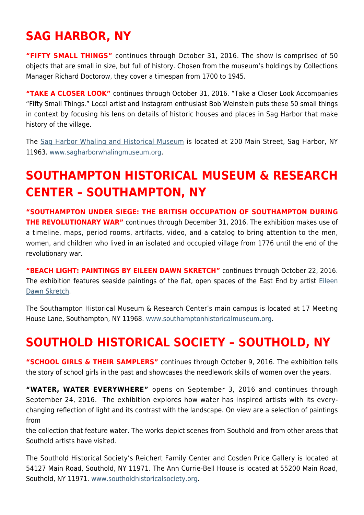## **SAG HARBOR, NY**

**"FIFTY SMALL THINGS"** continues through October 31, 2016. The show is comprised of 50 objects that are small in size, but full of history. Chosen from the museum's holdings by Collections Manager Richard Doctorow, they cover a timespan from 1700 to 1945.

**"TAKE A CLOSER LOOK"** continues through October 31, 2016. "Take a Closer Look Accompanies "Fifty Small Things." Local artist and Instagram enthusiast Bob Weinstein puts these 50 small things in context by focusing his lens on details of historic houses and places in Sag Harbor that make history of the village.

The [Sag Harbor Whaling and Historical Museum](https://hamptonsarthub.com/museum-guide/sag-harbor-whaling-museum/) is located at 200 Main Street, Sag Harbor, NY 11963. [www.sagharborwhalingmuseum.org](http://www.sagharborwhalingmuseum.org).

## **SOUTHAMPTON HISTORICAL MUSEUM & RESEARCH CENTER – SOUTHAMPTON, NY**

**"SOUTHAMPTON UNDER SIEGE: THE BRITISH OCCUPATION OF SOUTHAMPTON DURING THE REVOLUTIONARY WAR"** continues through December 31, 2016. The exhibition makes use of a timeline, maps, period rooms, artifacts, video, and a catalog to bring attention to the men, women, and children who lived in an isolated and occupied village from 1776 until the end of the revolutionary war.

**"BEACH LIGHT: PAINTINGS BY EILEEN DAWN SKRETCH"** continues through October 22, 2016. The exhibition features seaside paintings of the flat, open spaces of the East End by artist [Eileen](http://www.eileendawnskretch.com/) [Dawn Skretch](http://www.eileendawnskretch.com/).

The Southampton Historical Museum & Research Center's main campus is located at 17 Meeting House Lane, Southampton, NY 11968. [www.southamptonhistoricalmuseum.org](http://www.southamptonhistoricalmuseum.org).

## **SOUTHOLD HISTORICAL SOCIETY – SOUTHOLD, NY**

**"SCHOOL GIRLS & THEIR SAMPLERS"** continues through October 9, 2016. The exhibition tells the story of school girls in the past and showcases the needlework skills of women over the years.

**"WATER, WATER EVERYWHERE"** opens on September 3, 2016 and continues through September 24, 2016. The exhibition explores how water has inspired artists with its everychanging reflection of light and its contrast with the landscape. On view are a selection of paintings from

the collection that feature water. The works depict scenes from Southold and from other areas that Southold artists have visited.

The Southold Historical Society's Reichert Family Center and Cosden Price Gallery is located at 54127 Main Road, Southold, NY 11971. The Ann Currie-Bell House is located at 55200 Main Road, Southold, NY 11971. [www.southoldhistoricalsociety.org](http://www.southoldhistoricalsociety.org).